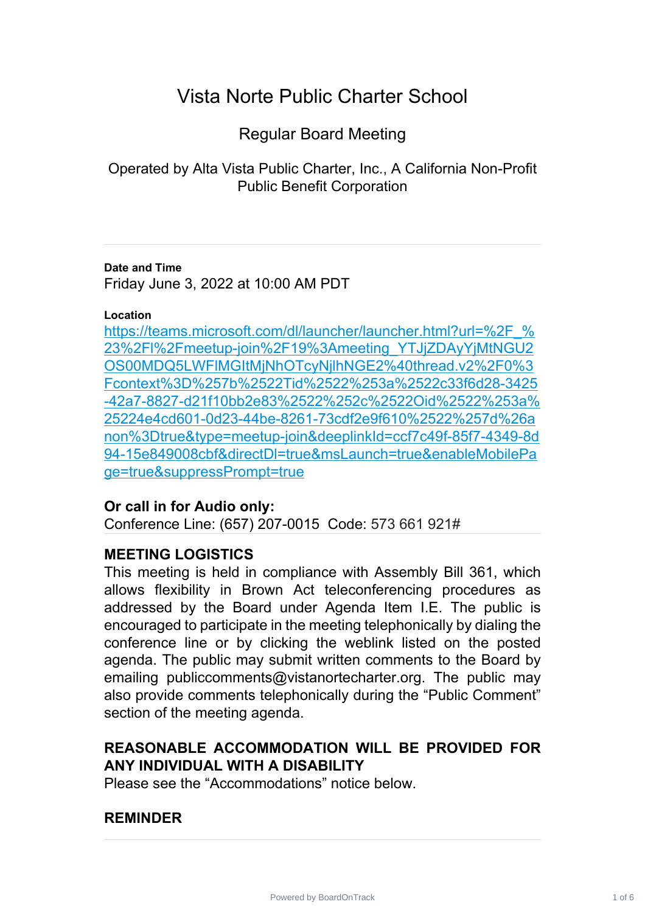# Vista Norte Public Charter School

# Regular Board Meeting

Operated by Alta Vista Public Charter, Inc., A California Non-Profit Public Benefit Corporation

### **Date and Time**

Friday June 3, 2022 at 10:00 AM PDT

### **Location**

[https://teams.microsoft.com/dl/launcher/launcher.html?url=%2F\\_%](https://teams.microsoft.com/dl/launcher/launcher.html?url=%2F_%23%2Fl%2Fmeetup-join%2F19%3Ameeting_YTJjZDAyYjMtNGU2OS00MDQ5LWFlMGItMjNhOTcyNjlhNGE2%40thread.v2%2F0%3Fcontext%3D%257b%2522Tid%2522%253a%2522c33f6d28-3425-42a7-8827-d21f10bb2e83%2522%252c%2522Oid%2522%253a%25224e4cd601-0d23-44be-8261-73cdf2e9f610%2522%257d%26anon%3Dtrue&type=meetup-join&deeplinkId=ccf7c49f-85f7-4349-8d94-15e849008cbf&directDl=true&msLaunch=true&enableMobilePage=true&suppressPrompt=true) 23%2Fl%2Fmeetup-join%2F19%3Ameeting\_YTJjZDAyYjMtNGU2 [OS00MDQ5LWFlMGItMjNhOTcyNjlhNGE2%40thread.v2%2F0%3](https://teams.microsoft.com/dl/launcher/launcher.html?url=%2F_%23%2Fl%2Fmeetup-join%2F19%3Ameeting_YTJjZDAyYjMtNGU2OS00MDQ5LWFlMGItMjNhOTcyNjlhNGE2%40thread.v2%2F0%3Fcontext%3D%257b%2522Tid%2522%253a%2522c33f6d28-3425-42a7-8827-d21f10bb2e83%2522%252c%2522Oid%2522%253a%25224e4cd601-0d23-44be-8261-73cdf2e9f610%2522%257d%26anon%3Dtrue&type=meetup-join&deeplinkId=ccf7c49f-85f7-4349-8d94-15e849008cbf&directDl=true&msLaunch=true&enableMobilePage=true&suppressPrompt=true) Fcontext%3D%257b%2522Tid%2522%253a%2522c33f6d28-3425 [-42a7-8827-d21f10bb2e83%2522%252c%2522Oid%2522%253a%](https://teams.microsoft.com/dl/launcher/launcher.html?url=%2F_%23%2Fl%2Fmeetup-join%2F19%3Ameeting_YTJjZDAyYjMtNGU2OS00MDQ5LWFlMGItMjNhOTcyNjlhNGE2%40thread.v2%2F0%3Fcontext%3D%257b%2522Tid%2522%253a%2522c33f6d28-3425-42a7-8827-d21f10bb2e83%2522%252c%2522Oid%2522%253a%25224e4cd601-0d23-44be-8261-73cdf2e9f610%2522%257d%26anon%3Dtrue&type=meetup-join&deeplinkId=ccf7c49f-85f7-4349-8d94-15e849008cbf&directDl=true&msLaunch=true&enableMobilePage=true&suppressPrompt=true) 25224e4cd601-0d23-44be-8261-73cdf2e9f610%2522%257d%26a [non%3Dtrue&type=meetup-join&deeplinkId=ccf7c49f-85f7-4349-8d](https://teams.microsoft.com/dl/launcher/launcher.html?url=%2F_%23%2Fl%2Fmeetup-join%2F19%3Ameeting_YTJjZDAyYjMtNGU2OS00MDQ5LWFlMGItMjNhOTcyNjlhNGE2%40thread.v2%2F0%3Fcontext%3D%257b%2522Tid%2522%253a%2522c33f6d28-3425-42a7-8827-d21f10bb2e83%2522%252c%2522Oid%2522%253a%25224e4cd601-0d23-44be-8261-73cdf2e9f610%2522%257d%26anon%3Dtrue&type=meetup-join&deeplinkId=ccf7c49f-85f7-4349-8d94-15e849008cbf&directDl=true&msLaunch=true&enableMobilePage=true&suppressPrompt=true) 94-15e849008cbf&directDl=true&msLaunch=true&enableMobilePa [ge=true&suppressPrompt=true](https://teams.microsoft.com/dl/launcher/launcher.html?url=%2F_%23%2Fl%2Fmeetup-join%2F19%3Ameeting_YTJjZDAyYjMtNGU2OS00MDQ5LWFlMGItMjNhOTcyNjlhNGE2%40thread.v2%2F0%3Fcontext%3D%257b%2522Tid%2522%253a%2522c33f6d28-3425-42a7-8827-d21f10bb2e83%2522%252c%2522Oid%2522%253a%25224e4cd601-0d23-44be-8261-73cdf2e9f610%2522%257d%26anon%3Dtrue&type=meetup-join&deeplinkId=ccf7c49f-85f7-4349-8d94-15e849008cbf&directDl=true&msLaunch=true&enableMobilePage=true&suppressPrompt=true)

## **Or call in for Audio only:**

Conference Line: (657) 207-0015 Code: 573 661 921#

## **MEETING LOGISTICS**

This meeting is held in compliance with Assembly Bill 361, which allows flexibility in Brown Act teleconferencing procedures as addressed by the Board under Agenda Item I.E. The public is encouraged to participate in the meeting telephonically by dialing the conference line or by clicking the weblink listed on the posted agenda. The public may submit written comments to the Board by emailing publiccomments@vistanortecharter.org. The public may also provide comments telephonically during the "Public Comment" section of the meeting agenda.

# **REASONABLE ACCOMMODATION WILL BE PROVIDED FOR ANY INDIVIDUAL WITH A DISABILITY**

Please see the "Accommodations" notice below.

## **REMINDER**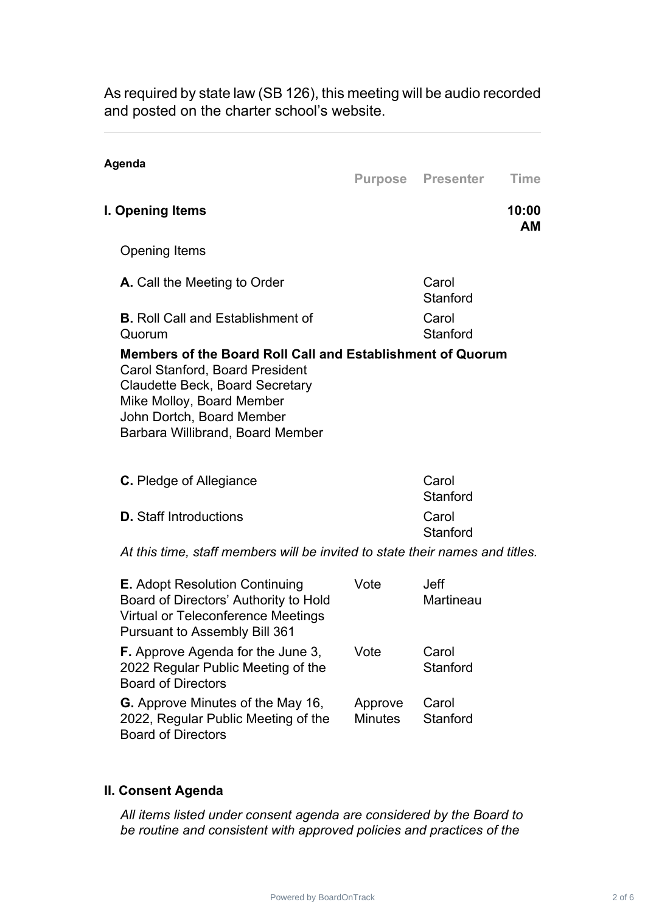As required by state law (SB 126), this meeting will be audio recorded and posted on the charter school's website.

| Agenda                                                                                                                                                                                                                                |         | <b>Purpose Presenter</b>        | <b>Time</b>        |
|---------------------------------------------------------------------------------------------------------------------------------------------------------------------------------------------------------------------------------------|---------|---------------------------------|--------------------|
| I. Opening Items                                                                                                                                                                                                                      |         |                                 | 10:00<br><b>AM</b> |
| <b>Opening Items</b>                                                                                                                                                                                                                  |         |                                 |                    |
| A. Call the Meeting to Order                                                                                                                                                                                                          |         | Carol<br>Stanford               |                    |
| <b>B.</b> Roll Call and Establishment of<br>Quorum                                                                                                                                                                                    |         | Carol<br>Stanford               |                    |
| Members of the Board Roll Call and Establishment of Quorum<br><b>Carol Stanford, Board President</b><br>Claudette Beck, Board Secretary<br>Mike Molloy, Board Member<br>John Dortch, Board Member<br>Barbara Willibrand, Board Member |         |                                 |                    |
| <b>C.</b> Pledge of Allegiance                                                                                                                                                                                                        |         | Carol<br>Stanford               |                    |
| <b>D.</b> Staff Introductions                                                                                                                                                                                                         |         | Carol<br>Stanford               |                    |
| At this time, staff members will be invited to state their names and titles.                                                                                                                                                          |         |                                 |                    |
| <b>E.</b> Adopt Resolution Continuing<br>Board of Directors' Authority to Hold<br><b>Virtual or Teleconference Meetings</b><br><b>Pursuant to Assembly Bill 361</b>                                                                   | Vote    | <b>Jeff</b><br><b>Martineau</b> |                    |
| <b>F.</b> Approve Agenda for the June 3,<br>2022 Regular Public Meeting of the<br><b>Board of Directors</b>                                                                                                                           | Vote    | Carol<br>Stanford               |                    |
| <b>G.</b> Approve Minutes of the May 16,                                                                                                                                                                                              | Approve | Carol                           |                    |

### **II. Consent Agenda**

Board of Directors

*All items listed under consent agenda are considered by the Board to be routine and consistent with approved policies and practices of the*

Stanford

2022, Regular Public Meeting of the Minutes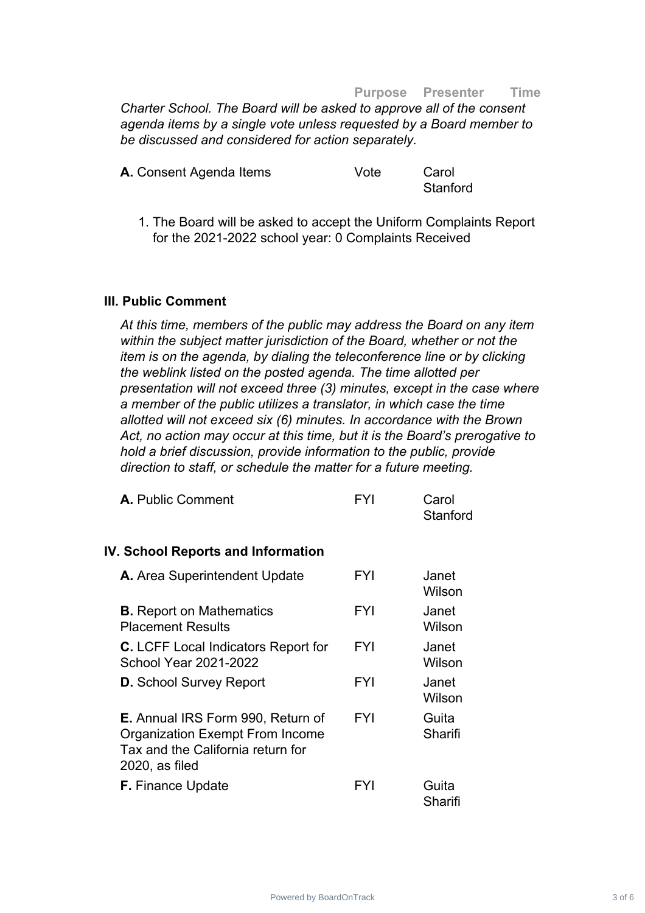#### **Purpose Presenter Time**

*Charter School. The Board will be asked to approve all of the consent agenda items by a single vote unless requested by a Board member to be discussed and considered for action separately.*

| A. Consent Agenda Items | Vote | Carol    |
|-------------------------|------|----------|
|                         |      | Stanford |

1. The Board will be asked to accept the Uniform Complaints Report for the 2021-2022 school year: 0 Complaints Received

#### **III. Public Comment**

*At this time, members of the public may address the Board on any item within the subject matter jurisdiction of the Board, whether or not the item is on the agenda, by dialing the teleconference line or by clicking the weblink listed on the posted agenda. The time allotted per presentation will not exceed three (3) minutes, except in the case where a member of the public utilizes a translator, in which case the time allotted will not exceed six (6) minutes. In accordance with the Brown Act, no action may occur at this time, but it is the Board's prerogative to hold a brief discussion, provide information to the public, provide direction to staff, or schedule the matter for a future meeting.*

| <b>A.</b> Public Comment                                                                                                                  | FYI        | Carol<br>Stanford |
|-------------------------------------------------------------------------------------------------------------------------------------------|------------|-------------------|
| <b>IV. School Reports and Information</b>                                                                                                 |            |                   |
| A. Area Superintendent Update                                                                                                             | <b>FYI</b> | Janet<br>Wilson   |
| <b>B.</b> Report on Mathematics<br><b>Placement Results</b>                                                                               | <b>FYI</b> | Janet<br>Wilson   |
| <b>C.</b> LCFF Local Indicators Report for<br><b>School Year 2021-2022</b>                                                                | <b>FYI</b> | Janet<br>Wilson   |
| <b>D.</b> School Survey Report                                                                                                            | <b>FYI</b> | Janet<br>Wilson   |
| <b>E.</b> Annual IRS Form 990, Return of<br><b>Organization Exempt From Income</b><br>Tax and the California return for<br>2020, as filed | <b>FYI</b> | Guita<br>Sharifi  |
| <b>F.</b> Finance Update                                                                                                                  | <b>FYI</b> | Guita<br>Sharifi  |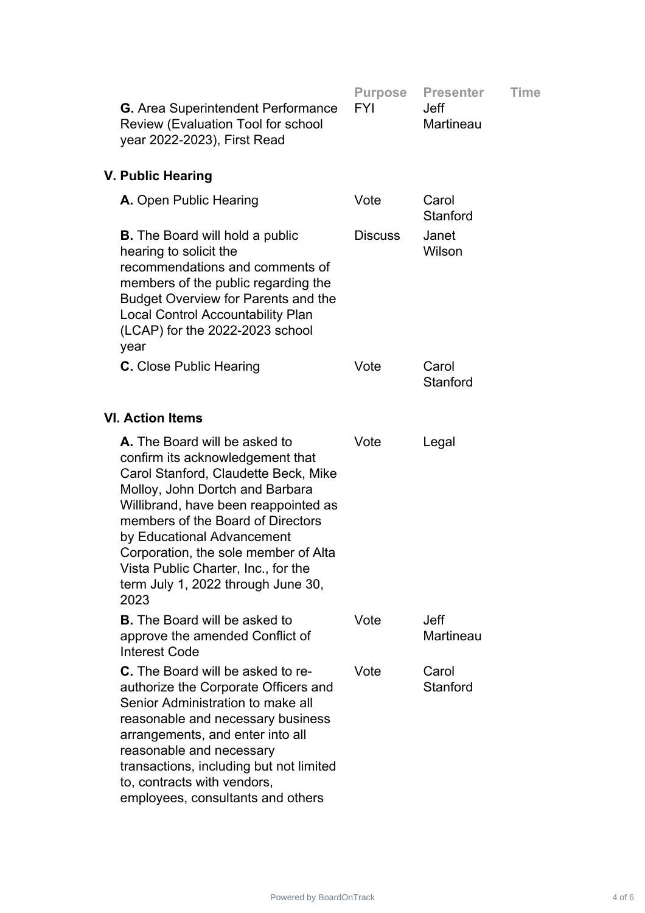| <b>G.</b> Area Superintendent Performance<br><b>Review (Evaluation Tool for school</b><br>year 2022-2023), First Read                                                                                                                                                                                                                                                                | <b>Purpose</b><br><b>FYI</b> | <b>Presenter</b><br><b>Jeff</b><br><b>Martineau</b> | <b>Time</b> |
|--------------------------------------------------------------------------------------------------------------------------------------------------------------------------------------------------------------------------------------------------------------------------------------------------------------------------------------------------------------------------------------|------------------------------|-----------------------------------------------------|-------------|
| V. Public Hearing                                                                                                                                                                                                                                                                                                                                                                    |                              |                                                     |             |
| A. Open Public Hearing                                                                                                                                                                                                                                                                                                                                                               | Vote                         | Carol<br>Stanford                                   |             |
| <b>B.</b> The Board will hold a public<br>hearing to solicit the<br>recommendations and comments of<br>members of the public regarding the<br><b>Budget Overview for Parents and the</b><br><b>Local Control Accountability Plan</b><br>(LCAP) for the 2022-2023 school<br>year                                                                                                      | <b>Discuss</b>               | Janet<br>Wilson                                     |             |
| <b>C.</b> Close Public Hearing                                                                                                                                                                                                                                                                                                                                                       | Vote                         | Carol<br>Stanford                                   |             |
| <b>VI. Action Items</b>                                                                                                                                                                                                                                                                                                                                                              |                              |                                                     |             |
| A. The Board will be asked to<br>confirm its acknowledgement that<br>Carol Stanford, Claudette Beck, Mike<br>Molloy, John Dortch and Barbara<br>Willibrand, have been reappointed as<br>members of the Board of Directors<br>by Educational Advancement<br>Corporation, the sole member of Alta<br>Vista Public Charter, Inc., for the<br>term July 1, 2022 through June 30,<br>2023 | Vote                         | Legal                                               |             |
| <b>B.</b> The Board will be asked to<br>approve the amended Conflict of<br><b>Interest Code</b>                                                                                                                                                                                                                                                                                      | Vote                         | <b>Jeff</b><br>Martineau                            |             |
| <b>C.</b> The Board will be asked to re-<br>authorize the Corporate Officers and<br>Senior Administration to make all<br>reasonable and necessary business<br>arrangements, and enter into all<br>reasonable and necessary<br>transactions, including but not limited<br>to, contracts with vendors,<br>employees, consultants and others                                            | Vote                         | Carol<br>Stanford                                   |             |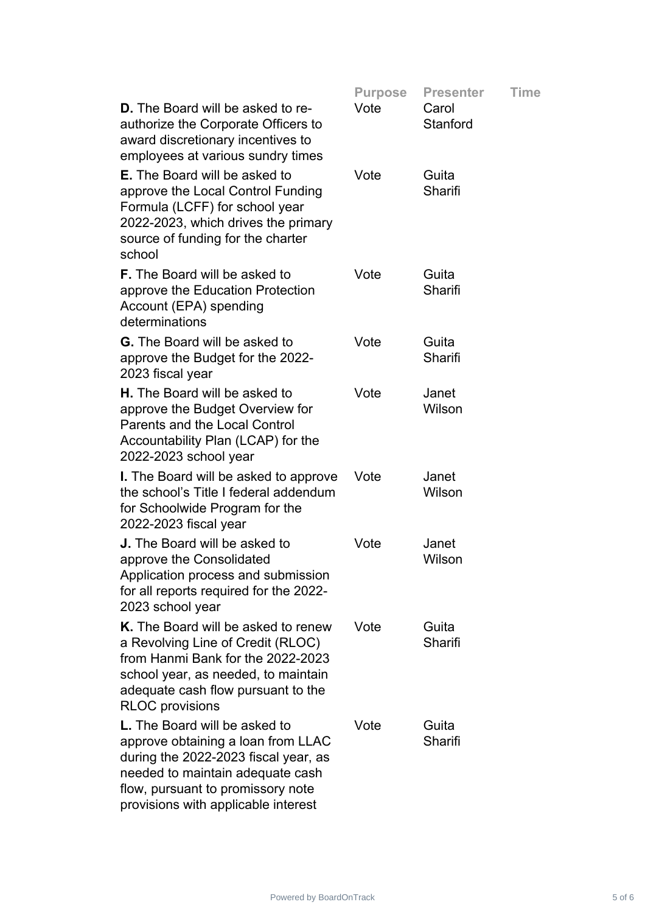|                                                                                                                                                                                                                             | <b>Purpose</b> | <b>Presenter</b>  | <b>Time</b> |
|-----------------------------------------------------------------------------------------------------------------------------------------------------------------------------------------------------------------------------|----------------|-------------------|-------------|
| <b>D.</b> The Board will be asked to re-<br>authorize the Corporate Officers to<br>award discretionary incentives to<br>employees at various sundry times                                                                   | Vote           | Carol<br>Stanford |             |
| <b>E.</b> The Board will be asked to<br>approve the Local Control Funding<br>Formula (LCFF) for school year<br>2022-2023, which drives the primary<br>source of funding for the charter<br>school                           | Vote           | Guita<br>Sharifi  |             |
| <b>F.</b> The Board will be asked to<br>approve the Education Protection<br>Account (EPA) spending<br>determinations                                                                                                        | Vote           | Guita<br>Sharifi  |             |
| <b>G.</b> The Board will be asked to<br>approve the Budget for the 2022-<br>2023 fiscal year                                                                                                                                | Vote           | Guita<br>Sharifi  |             |
| <b>H.</b> The Board will be asked to<br>approve the Budget Overview for<br><b>Parents and the Local Control</b><br>Accountability Plan (LCAP) for the<br>2022-2023 school year                                              | Vote           | Janet<br>Wilson   |             |
| <b>I.</b> The Board will be asked to approve<br>the school's Title I federal addendum<br>for Schoolwide Program for the<br>2022-2023 fiscal year                                                                            | Vote           | Janet<br>Wilson   |             |
| <b>J.</b> The Board will be asked to<br>approve the Consolidated<br>Application process and submission<br>for all reports required for the 2022-<br>2023 school year                                                        | Vote           | Janet<br>Wilson   |             |
| K. The Board will be asked to renew<br>a Revolving Line of Credit (RLOC)<br>from Hanmi Bank for the 2022-2023<br>school year, as needed, to maintain<br>adequate cash flow pursuant to the<br><b>RLOC</b> provisions        | Vote           | Guita<br>Sharifi  |             |
| L. The Board will be asked to<br>approve obtaining a loan from LLAC<br>during the 2022-2023 fiscal year, as<br>needed to maintain adequate cash<br>flow, pursuant to promissory note<br>provisions with applicable interest | Vote           | Guita<br>Sharifi  |             |